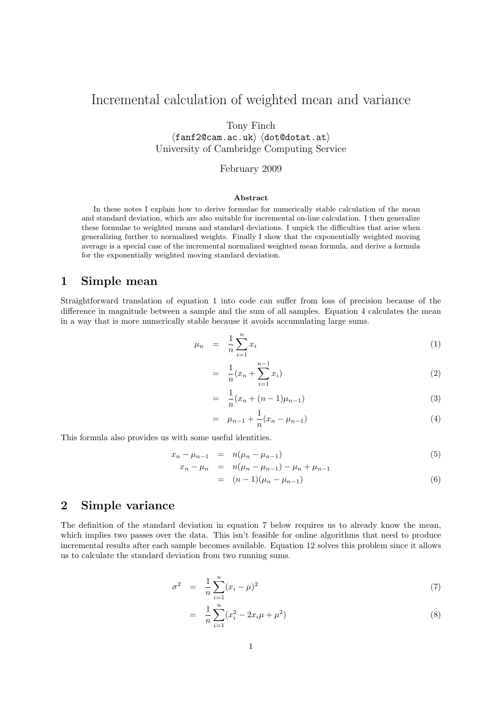## Incremental calculation of weighted mean and variance

Tony Finch

 $\langle \texttt{fanf20cam.ac.uk} \rangle$   $\langle \texttt{dot@data.at} \rangle$ University of Cambridge Computing Service

February 2009

#### Abstract

In these notes I explain how to derive formulae for numerically stable calculation of the mean and standard deviation, which are also suitable for incremental on-line calculation. I then generalize these formulae to weighted means and standard deviations. I unpick the difficulties that arise when generalizing further to normalized weights. Finally I show that the exponentially weighted moving average is a special case of the incremental normalized weighted mean formula, and derive a formula for the exponentially weighted moving standard deviation.

#### 1 Simple mean

Straightforward translation of equation 1 into code can suffer from loss of precision because of the difference in magnitude between a sample and the sum of all samples. Equation 4 calculates the mean in a way that is more numerically stable because it avoids accumulating large sums.

$$
\mu_n = \frac{1}{n} \sum_{i=1}^n x_i \tag{1}
$$

$$
= \frac{1}{n}(x_n + \sum_{i=1}^{n-1} x_i) \tag{2}
$$

$$
= \frac{1}{n}(x_n + (n-1)\mu_{n-1})
$$
\n(3)

$$
= \mu_{n-1} + \frac{1}{n}(x_n - \mu_{n-1}) \tag{4}
$$

This formula also provides us with some useful identities.

$$
x_n - \mu_{n-1} = n(\mu_n - \mu_{n-1}) \tag{5}
$$

$$
x_n - \mu_n = n(\mu_n - \mu_{n-1}) - \mu_n + \mu_{n-1}
$$
  
=  $(n-1)(\mu_n - \mu_{n-1})$  (6)

#### 2 Simple variance

The definition of the standard deviation in equation 7 below requires us to already know the mean, which implies two passes over the data. This isn't feasible for online algorithms that need to produce incremental results after each sample becomes available. Equation 12 solves this problem since it allows us to calculate the standard deviation from two running sums.

$$
\sigma^2 = \frac{1}{n} \sum_{i=1}^n (x_i - \mu)^2 \tag{7}
$$

$$
= \frac{1}{n} \sum_{i=1}^{n} (x_i^2 - 2x_i \mu + \mu^2)
$$
\n(8)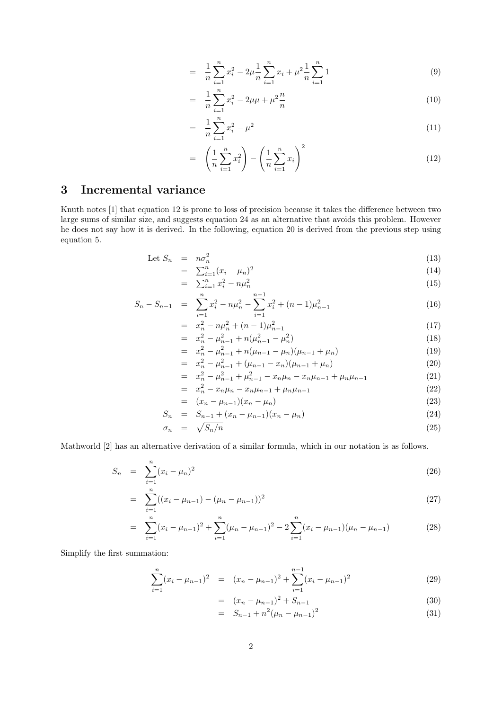$$
= \frac{1}{n} \sum_{i=1}^{n} x_i^2 - 2\mu \frac{1}{n} \sum_{i=1}^{n} x_i + \mu^2 \frac{1}{n} \sum_{i=1}^{n} 1 \tag{9}
$$

$$
= \frac{1}{n} \sum_{i=1}^{n} x_i^2 - 2\mu\mu + \mu^2 \frac{n}{n}
$$
 (10)

$$
= \frac{1}{n} \sum_{i=1}^{n} x_i^2 - \mu^2 \tag{11}
$$

$$
= \left(\frac{1}{n}\sum_{i=1}^{n}x_i^2\right) - \left(\frac{1}{n}\sum_{i=1}^{n}x_i\right)^2 \tag{12}
$$

## 3 Incremental variance

Knuth notes [1] that equation 12 is prone to loss of precision because it takes the difference between two large sums of similar size, and suggests equation 24 as an alternative that avoids this problem. However he does not say how it is derived. In the following, equation 20 is derived from the previous step using equation 5.

Let 
$$
S_n = n\sigma_n^2 \tag{13}
$$

$$
= \sum_{i=1}^{n} (x_i - \mu_n)^2
$$
 (14)

$$
= \sum_{i=1}^{n} x_i^2 - n\mu_n^2 \tag{15}
$$

$$
S_n - S_{n-1} = \sum_{i=1}^n x_i^2 - n\mu_n^2 - \sum_{i=1}^{n-1} x_i^2 + (n-1)\mu_{n-1}^2 \tag{16}
$$

$$
= x_n^2 - n\mu_n^2 + (n-1)\mu_{n-1}^2
$$
\n
$$
= x_n^2 - \mu_n^2 + n(\mu_n^2 - \mu_n^2)
$$
\n(17)

$$
= x_n^2 - \mu_{n-1}^2 + n(\mu_{n-1}^2 - \mu_n^2)
$$
  
=  $x_n^2 - \mu_{n-1}^2 + n(\mu_{n-1} - \mu_n)(\mu_{n-1} + \mu_n)$  (18)

$$
= x_n^2 - \mu_{n-1}^2 + (\mu_{n-1} - x_n)(\mu_{n-1} + \mu_n) \tag{20}
$$

$$
= x_n^2 - \mu_{n-1}^2 + \mu_{n-1}^2 - x_n \mu_n - x_n \mu_{n-1} + \mu_n \mu_{n-1}
$$
\n(21)

$$
= x_n^2 - x_n \mu_n - x_n \mu_{n-1} + \mu_n \mu_{n-1}
$$
\n(22)

$$
= (x_n - \mu_{n-1})(x_n - \mu_n) \tag{23}
$$

$$
S_n = S_{n-1} + (x_n - \mu_{n-1})(x_n - \mu_n) \tag{24}
$$

$$
\sigma_n = \sqrt{S_n/n} \tag{25}
$$

Mathworld [2] has an alternative derivation of a similar formula, which in our notation is as follows.

$$
S_n = \sum_{i=1}^n (x_i - \mu_n)^2
$$
\n(26)

$$
= \sum_{i=1}^{n} ((x_i - \mu_{n-1}) - (\mu_n - \mu_{n-1}))^2
$$
\n(27)

$$
= \sum_{i=1}^{n} (x_i - \mu_{n-1})^2 + \sum_{i=1}^{n} (\mu_n - \mu_{n-1})^2 - 2 \sum_{i=1}^{n} (x_i - \mu_{n-1}) (\mu_n - \mu_{n-1}) \tag{28}
$$

Simplify the first summation:

$$
\sum_{i=1}^{n} (x_i - \mu_{n-1})^2 = (x_n - \mu_{n-1})^2 + \sum_{i=1}^{n-1} (x_i - \mu_{n-1})^2
$$
 (29)

$$
= (x_n - \mu_{n-1})^2 + S_{n-1}
$$
\n(30)

$$
= S_{n-1} + n^2 (\mu_n - \mu_{n-1})^2 \tag{31}
$$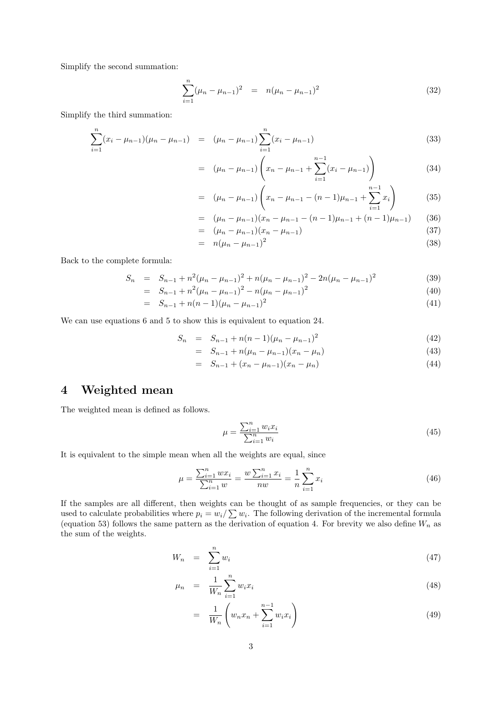Simplify the second summation:

$$
\sum_{i=1}^{n} (\mu_n - \mu_{n-1})^2 = n(\mu_n - \mu_{n-1})^2
$$
 (32)

Simplify the third summation:

$$
\sum_{i=1}^{n} (x_i - \mu_{n-1})(\mu_n - \mu_{n-1}) = (\mu_n - \mu_{n-1}) \sum_{i=1}^{n} (x_i - \mu_{n-1})
$$
\n(33)

$$
= (\mu_n - \mu_{n-1}) \left( x_n - \mu_{n-1} + \sum_{i=1}^{n-1} (x_i - \mu_{n-1}) \right)
$$
 (34)

$$
= (\mu_n - \mu_{n-1}) \left( x_n - \mu_{n-1} - (n-1)\mu_{n-1} + \sum_{i=1}^{n-1} x_i \right) \tag{35}
$$

$$
= (\mu_n - \mu_{n-1})(x_n - \mu_{n-1} - (n-1)\mu_{n-1} + (n-1)\mu_{n-1}) \qquad (36)
$$

$$
= (\mu_n - \mu_{n-1})(x_n - \mu_{n-1}) \tag{37}
$$

$$
= n(\mu_n - \mu_{n-1})^2 \tag{38}
$$

Back to the complete formula:

$$
S_n = S_{n-1} + n^2(\mu_n - \mu_{n-1})^2 + n(\mu_n - \mu_{n-1})^2 - 2n(\mu_n - \mu_{n-1})^2
$$
\n(39)

$$
= S_{n-1} + n^2(\mu_n - \mu_{n-1})^2 - n(\mu_n - \mu_{n-1})^2
$$
\n(40)

$$
= S_{n-1} + n(n-1)(\mu_n - \mu_{n-1})^2 \tag{41}
$$

We can use equations 6 and 5 to show this is equivalent to equation 24.

$$
S_n = S_{n-1} + n(n-1)(\mu_n - \mu_{n-1})^2
$$
\n(42)

$$
= S_{n-1} + n(\mu_n - \mu_{n-1})(x_n - \mu_n) \tag{43}
$$

$$
= S_{n-1} + (x_n - \mu_{n-1})(x_n - \mu_n) \tag{44}
$$

## 4 Weighted mean

The weighted mean is defined as follows.

$$
\mu = \frac{\sum_{i=1}^{n} w_i x_i}{\sum_{i=1}^{n} w_i}
$$
\n(45)

It is equivalent to the simple mean when all the weights are equal, since

$$
\mu = \frac{\sum_{i=1}^{n} wx_i}{\sum_{i=1}^{n} w} = \frac{w \sum_{i=1}^{n} x_i}{nw} = \frac{1}{n} \sum_{i=1}^{n} x_i
$$
\n(46)

If the samples are all different, then weights can be thought of as sample frequencies, or they can be used to calculate probabilities where  $p_i = w_i / \sum w_i$ . The following derivation of the incremental formula (equation 53) follows the same pattern as the derivation of equation 4. For brevity we also define  $W_n$  as the sum of the weights.

$$
W_n = \sum_{i=1}^n w_i \tag{47}
$$

$$
\mu_n = \frac{1}{W_n} \sum_{i=1}^n w_i x_i \tag{48}
$$

$$
= \frac{1}{W_n} \left( w_n x_n + \sum_{i=1}^{n-1} w_i x_i \right) \tag{49}
$$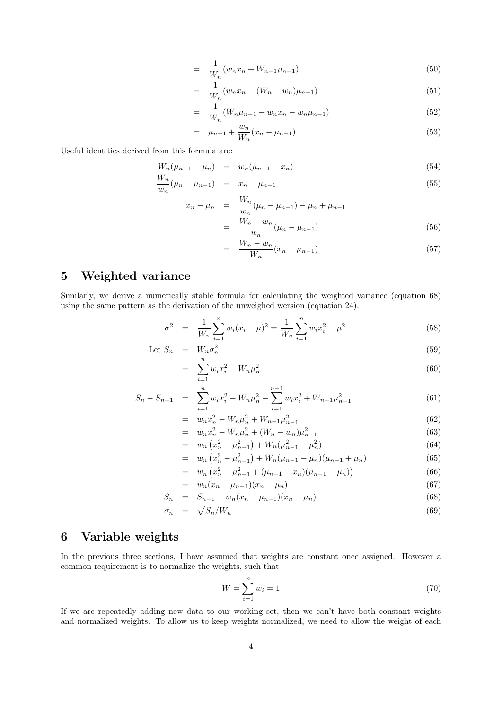$$
= \frac{1}{W_n}(w_n x_n + W_{n-1} \mu_{n-1}) \tag{50}
$$

$$
= \frac{1}{W_n}(w_n x_n + (W_n - w_n)\mu_{n-1})
$$
\n(51)

$$
= \frac{1}{W_n}(W_n\mu_{n-1} + w_nx_n - w_n\mu_{n-1})
$$
\n(52)

$$
= \mu_{n-1} + \frac{w_n}{W_n}(x_n - \mu_{n-1}) \tag{53}
$$

Useful identities derived from this formula are:

$$
W_n(\mu_{n-1} - \mu_n) = w_n(\mu_{n-1} - x_n)
$$
\n(54)

$$
\frac{w_n}{w_n}(\mu_n - \mu_{n-1}) = x_n - \mu_{n-1}
$$
\n(55)

$$
x_n - \mu_n = \frac{W_n}{w_n} (\mu_n - \mu_{n-1}) - \mu_n + \mu_{n-1}
$$
  
= 
$$
\frac{W_n - w_n}{w_n} (\mu_n - \mu_{n-1})
$$
 (56)

$$
w_n \tbinom{\mu_n - \mu_{n-1}}{\mu_n}
$$
\n
$$
= \frac{W_n - w_n}{W_n} (x_n - \mu_{n-1})
$$
\n(57)

## 5 Weighted variance

Similarly, we derive a numerically stable formula for calculating the weighted variance (equation 68) using the same pattern as the derivation of the unweighed wersion (equation 24).

$$
\sigma^2 = \frac{1}{W_n} \sum_{i=1}^n w_i (x_i - \mu)^2 = \frac{1}{W_n} \sum_{i=1}^n w_i x_i^2 - \mu^2
$$
\n(58)

Let 
$$
S_n = W_n \sigma_n^2 \tag{59}
$$

$$
= \sum_{i=1}^{n} w_i x_i^2 - W_n \mu_n^2 \tag{60}
$$

$$
S_n - S_{n-1} = \sum_{i=1}^n w_i x_i^2 - W_n \mu_n^2 - \sum_{i=1}^{n-1} w_i x_i^2 + W_{n-1} \mu_{n-1}^2 \tag{61}
$$

$$
= w_n x_n^2 - W_n \mu_n^2 + W_{n-1} \mu_{n-1}^2 \tag{62}
$$

$$
= w_n x_n^2 - W_n \mu_n^2 + (W_n - w_n) \mu_{n-1}^2
$$
\n
$$
= w_n (x_n^2 - \mu_n^2) + W (u_n^2 - \mu_n^2)
$$
\n(63)

$$
= w_n (x_n^2 - \mu_{n-1}^2) + W_n(\mu_{n-1}^2 - \mu_n^2)
$$
  
\n
$$
= w_n (x_n^2 - \mu_{n-1}^2) + W_n(\mu_{n-1} - \mu_n)(\mu_{n-1} + \mu_n)
$$
 (64)

$$
= w_n (x_n^2 - \mu_{n-1}^2) + W_n(\mu_{n-1} - \mu_n)(\mu_{n-1} + \mu_n)
$$
\n
$$
= w_n (x_n^2 - \mu_{n-1}^2) + (\mu_{n-1} - \mu_n)(\mu_{n-1} + \mu_n)
$$
\n(65)

$$
= w_n (x_n^2 - \mu_{n-1}^2 + (\mu_{n-1} - x_n)(\mu_{n-1} + \mu_n))
$$
  

$$
= w_n (x_n - \mu_{n-1})(x_n - \mu_n)
$$
 (67)

$$
S_n = S_{n-1} + w_n (x_n - \mu_{n-1}) (x_n - \mu_n) \tag{68}
$$

$$
\sigma_n = \sqrt{S_n/W_n} \tag{69}
$$

### 6 Variable weights

In the previous three sections, I have assumed that weights are constant once assigned. However a common requirement is to normalize the weights, such that

$$
W = \sum_{i=1}^{n} w_i = 1
$$
\n(70)

If we are repeatedly adding new data to our working set, then we can't have both constant weights and normalized weights. To allow us to keep weights normalized, we need to allow the weight of each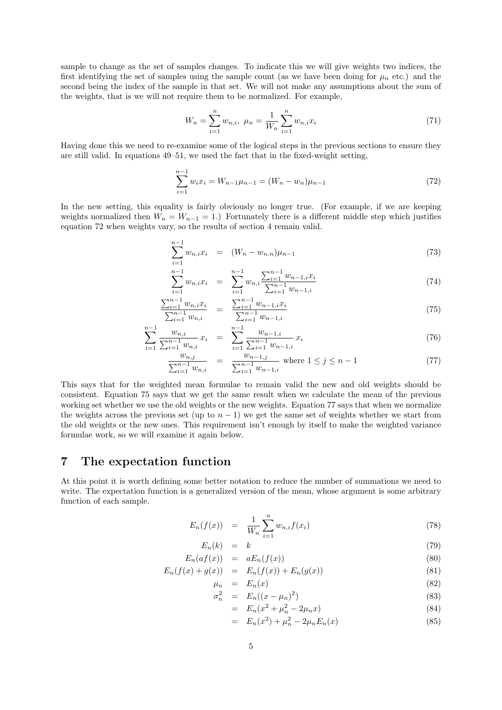sample to change as the set of samples changes. To indicate this we will give weights two indices, the first identifying the set of samples using the sample count (as we have been doing for  $\mu_n$  etc.) and the second being the index of the sample in that set. We will not make any assumptions about the sum of the weights, that is we will not require them to be normalized. For example,

$$
W_n = \sum_{i=1}^n w_{n,i}, \ \mu_n = \frac{1}{W_n} \sum_{i=1}^n w_{n,i} x_i \tag{71}
$$

Having done this we need to re-examine some of the logical steps in the previous sections to ensure they are still valid. In equations 49–51, we used the fact that in the fixed-weight setting,

$$
\sum_{i=1}^{n-1} w_i x_i = W_{n-1} \mu_{n-1} = (W_n - w_n) \mu_{n-1}
$$
\n(72)

In the new setting, this equality is fairly obviously no longer true. (For example, if we are keeping weights normalized then  $W_n = W_{n-1} = 1$ .) Fortunately there is a different middle step which justifies equation 72 when weights vary, so the results of section 4 remain valid.

$$
\sum_{i=1}^{n-1} w_{n,i} x_i = (W_n - w_{n,n}) \mu_{n-1}
$$
\n(73)

$$
\sum_{i=1}^{n-1} w_{n,i} x_i = \sum_{i=1}^{n-1} w_{n,i} \frac{\sum_{i=1}^{n-1} w_{n-1,i} x_i}{\sum_{i=1}^{n-1} w_{n-1,i}} \tag{74}
$$

$$
\frac{\sum_{i=1}^{n-1} w_{n,i} x_i}{\sum_{i=1}^{n-1} w_{n,i}} = \frac{\sum_{i=1}^{n-1} w_{n-1,i} x_i}{\sum_{i=1}^{n-1} w_{n-1,i}} \tag{75}
$$

$$
\sum_{i=1}^{n-1} \frac{w_{n,i}}{\sum_{i=1}^{n-1} w_{n,i}} x_i = \sum_{i=1}^{n-1} \frac{w_{n-1,i}}{\sum_{i=1}^{n-1} w_{n-1,i}} x_i
$$
\n(76)

$$
\frac{w_{n,j}}{\sum_{i=1}^{n-1} w_{n,i}} = \frac{w_{n-1,j}}{\sum_{i=1}^{n-1} w_{n-1,i}} \text{ where } 1 \le j \le n-1 \tag{77}
$$

This says that for the weighted mean formulae to remain valid the new and old weights should be consistent. Equation 75 says that we get the same result when we calculate the mean of the previous working set whether we use the old weights or the new weights. Equation 77 says that when we normalize the weights across the previous set (up to  $n-1$ ) we get the same set of weights whether we start from the old weights or the new ones. This requirement isn't enough by itself to make the weighted variance formulae work, so we will examine it again below.

#### 7 The expectation function

At this point it is worth defining some better notation to reduce the number of summations we need to write. The expectation function is a generalized version of the mean, whose argument is some arbitrary function of each sample.

$$
E_n(f(x)) = \frac{1}{W_n} \sum_{i=1}^n w_{n,i} f(x_i)
$$
\n(78)

$$
E_n(k) = k \tag{79}
$$

$$
E_n(af(x)) = aE_n(f(x)) \tag{80}
$$

$$
E_n(f(x) + g(x)) = E_n(f(x)) + E_n(g(x))
$$
\n(81)

$$
\mu_n = E_n(x) \tag{82}
$$

$$
\sigma_n^2 = E_n((x - \mu_n)^2) \tag{83}
$$

$$
= E_n(x^2 + \mu_n^2 - 2\mu_n x)
$$
\n
$$
= F_n(x^2) + \mu_n^2 - 2\mu_n F_n(x)
$$
\n(84)

$$
= E_n(x^2) + \mu_n^2 - 2\mu_n E_n(x) \tag{85}
$$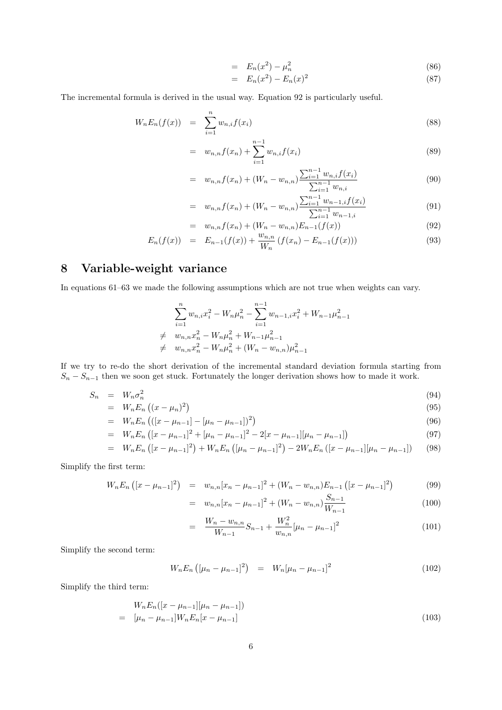$$
= E_n(x^2) - \mu_n^2 \tag{86}
$$

$$
= E_n(x^2) - E_n(x)^2 \tag{87}
$$

The incremental formula is derived in the usual way. Equation 92 is particularly useful.

$$
W_n E_n(f(x)) = \sum_{i=1}^n w_{n,i} f(x_i)
$$
\n(88)

$$
= w_{n,n}f(x_n) + \sum_{i=1}^{n-1} w_{n,i}f(x_i)
$$
\n(89)

$$
= w_{n,n}f(x_n) + (W_n - w_{n,n})\frac{\sum_{i=1}^{n-1} w_{n,i}f(x_i)}{\sum_{i=1}^{n-1} w_{n,i}} \tag{90}
$$

$$
= w_{n,n}f(x_n) + (W_n - w_{n,n})\frac{\sum_{i=1}^{n-1} w_{n-1,i}f(x_i)}{\sum_{i=1}^{n-1} w_{n-1,i}} \tag{91}
$$

$$
= w_{n,n} f(x_n) + (W_n - w_{n,n}) E_{n-1}(f(x)) \tag{92}
$$

$$
E_n(f(x)) = E_{n-1}(f(x)) + \frac{w_{n,n}}{W_n} (f(x_n) - E_{n-1}(f(x))) \tag{93}
$$

## 8 Variable-weight variance

In equations 61–63 we made the following assumptions which are not true when weights can vary.

$$
\sum_{i=1}^{n} w_{n,i} x_i^2 - W_n \mu_n^2 - \sum_{i=1}^{n-1} w_{n-1,i} x_i^2 + W_{n-1} \mu_{n-1}^2
$$
  

$$
\neq w_{n,n} x_n^2 - W_n \mu_n^2 + W_{n-1} \mu_{n-1}^2
$$
  

$$
\neq w_{n,n} x_n^2 - W_n \mu_n^2 + (W_n - w_{n,n}) \mu_{n-1}^2
$$

If we try to re-do the short derivation of the incremental standard deviation formula starting from  $S_n - S_{n-1}$  then we soon get stuck. Fortunately the longer derivation shows how to made it work.

$$
S_n = W_n \sigma_n^2 \tag{94}
$$

$$
= W_n E_n \left( (x - \mu_n)^2 \right) \tag{95}
$$

$$
= W_n E_n (([x - \mu_{n-1}] - [\mu_n - \mu_{n-1}])^2)
$$
\n(96)

$$
= W_n E_n ([x - \mu_{n-1}]^2 + [\mu_n - \mu_{n-1}]^2 - 2[x - \mu_{n-1}][\mu_n - \mu_{n-1}])
$$
\n
$$
= W_n E_n ([x - \mu_{n-1}]^2) + W_n E_n ([\mu_n - \mu_{n-1}]^2) - 2W_n E_n ([x - \mu_{n-1}][\mu_n - \mu_{n-1}])
$$
\n(97)

$$
W_n E_n ([x - \mu_{n-1}]^2) + W_n E_n ([\mu_n - \mu_{n-1}]^2) - 2W_n E_n ([x - \mu_{n-1}][\mu_n - \mu_{n-1}]) \tag{98}
$$

Simplify the first term:

$$
W_n E_n \left( [x - \mu_{n-1}]^2 \right) = w_{n,n} [x_n - \mu_{n-1}]^2 + (W_n - w_{n,n}) E_{n-1} \left( [x - \mu_{n-1}]^2 \right)
$$
(99)

$$
= w_{n,n}[x_n - \mu_{n-1}]^2 + (W_n - w_{n,n})\frac{S_{n-1}}{W_{n-1}}
$$
\n(100)

$$
= \frac{W_n - w_{n,n}}{W_{n-1}} S_{n-1} + \frac{W_n^2}{w_{n,n}} [\mu_n - \mu_{n-1}]^2
$$
\n(101)

Simplify the second term:

$$
W_n E_n \left( [\mu_n - \mu_{n-1}]^2 \right) = W_n [\mu_n - \mu_{n-1}]^2 \tag{102}
$$

Simplify the third term:

$$
W_n E_n([x - \mu_{n-1}][\mu_n - \mu_{n-1}])
$$
  
=  $[\mu_n - \mu_{n-1}] W_n E_n[x - \mu_{n-1}]$  (103)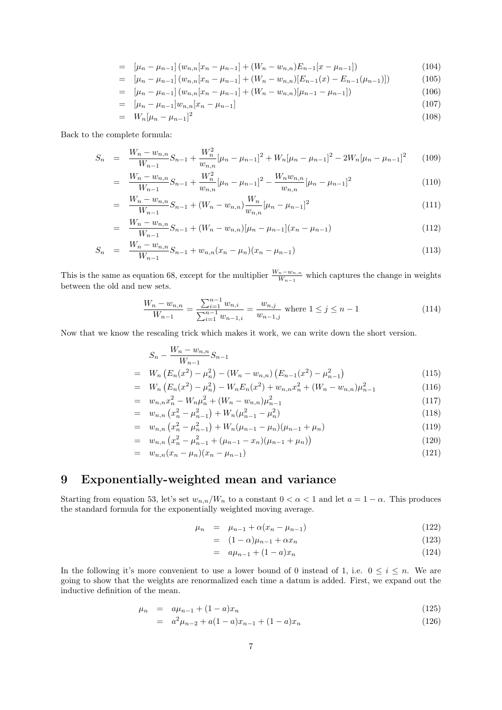$$
= [\mu_n - \mu_{n-1}](w_{n,n}[x_n - \mu_{n-1}] + (W_n - w_{n,n})E_{n-1}[x - \mu_{n-1}]) \tag{104}
$$

$$
= [\mu_n - \mu_{n-1}] (w_{n,n}[x_n - \mu_{n-1}] + (W_n - w_{n,n})[E_{n-1}(x) - E_{n-1}(\mu_{n-1})]) \tag{105}
$$

 $=$   $\left[\mu_n - \mu_{n-1}\right] \left(w_{n,n}[x_n - \mu_{n-1}] + \left(W_n - w_{n,n}\right)[\mu_{n-1} - \mu_{n-1}]\right)$  (106)

$$
= \left[ \mu_n - \mu_{n-1} \right] w_{n,n} \left[ x_n - \mu_{n-1} \right] \tag{107}
$$

$$
= W_n[\mu_n - \mu_{n-1}]^2 \tag{108}
$$

Back to the complete formula:

$$
S_n = \frac{W_n - w_{n,n}}{W_{n-1}} S_{n-1} + \frac{W_n^2}{w_{n,n}} [\mu_n - \mu_{n-1}]^2 + W_n [\mu_n - \mu_{n-1}]^2 - 2W_n [\mu_n - \mu_{n-1}]^2 \tag{109}
$$

$$
= \frac{W_n - w_{n,n}}{W_{n-1}} S_{n-1} + \frac{W_n^2}{w_{n,n}} [\mu_n - \mu_{n-1}]^2 - \frac{W_n w_{n,n}}{w_{n,n}} [\mu_n - \mu_{n-1}]^2
$$
(110)

$$
= \frac{W_n - w_{n,n}}{W_{n-1}} S_{n-1} + (W_n - w_{n,n}) \frac{W_n}{w_{n,n}} [\mu_n - \mu_{n-1}]^2
$$
\n(111)

$$
= \frac{W_n - w_{n,n}}{W_{n-1}} S_{n-1} + (W_n - w_{n,n})[\mu_n - \mu_{n-1}](x_n - \mu_{n-1}) \tag{112}
$$

$$
S_n = \frac{W_n - w_{n,n}}{W_{n-1}} S_{n-1} + w_{n,n} (x_n - \mu_n)(x_n - \mu_{n-1})
$$
\n(113)

This is the same as equation 68, except for the multiplier  $\frac{W_n - w_{n,n}}{W_{n-1}}$  which captures the change in weights between the old and new sets.

$$
\frac{W_n - w_{n,n}}{W_{n-1}} = \frac{\sum_{i=1}^{n-1} w_{n,i}}{\sum_{i=1}^{n-1} w_{n-1,i}} = \frac{w_{n,j}}{w_{n-1,j}} \text{ where } 1 \le j \le n-1
$$
\n(114)

Now that we know the rescaling trick which makes it work, we can write down the short version.

$$
S_n - \frac{W_n - w_{n,n}}{W_{n-1}} S_{n-1}
$$
  
 
$$
W_n (E_n(x^2) - \mu_n^2) - (W_n - w_{n,n}) (E_{n-1}(x^2) - \mu_{n-1}^2)
$$
 (115)

$$
= W_n \left( E_n(x^2) - \mu_n^2 \right) - \left( W_n - w_{n,n} \right) \left( E_{n-1}(x^2) - \mu_{n-1}^2 \right) \tag{115}
$$
\n
$$
= W_n \left( E_n(x^2) - \mu_n^2 \right) - W_n E_n(x^2) + w_{n,n} x_n^2 + \left( W_n - w_{n,n} \right) \mu_{n-1}^2 \tag{116}
$$

$$
= W_n \left( E_n(x^2) - \mu_n^2 \right) - W_n E_n(x^2) + w_{n,n} x_n^2 + (W_n - w_{n,n}) \mu_{n-1}^2 \tag{116}
$$
\n
$$
= w_n \mu_n^2 - W_n u_n^2 + (W_n - w_{n,n}) \mu_n^2 \tag{117}
$$

$$
= w_{n,n}x_n^2 - W_n\mu_n^2 + (W_n - w_{n,n})\mu_{n-1}^2
$$
\n
$$
= w_{n,n} (x_n^2 - u_n^2) + W_n(u_n^2 - u_n^2) \tag{118}
$$

$$
= w_{n,n} \left( x_n^2 - \mu_{n-1}^2 \right) + W_n(\mu_{n-1}^2 - \mu_n^2) \tag{118}
$$

$$
= w_{n,n} \left( x_n^2 - \mu_{n-1}^2 \right) + W_n(\mu_{n-1} - \mu_n)(\mu_{n-1} + \mu_n) \tag{119}
$$

$$
= w_{n,n} \left( x_n^2 - \mu_{n-1}^2 + (\mu_{n-1} - x_n)(\mu_{n-1} + \mu_n) \right) \tag{120}
$$

$$
= w_{n,n}(x_n - \mu_n)(x_n - \mu_{n-1}) \tag{121}
$$

# 9 Exponentially-weighted mean and variance

Starting from equation 53, let's set  $w_{n,n}/W_n$  to a constant  $0 < \alpha < 1$  and let  $a = 1 - \alpha$ . This produces the standard formula for the exponentially weighted moving average.

$$
\mu_n = \mu_{n-1} + \alpha (x_n - \mu_{n-1}) \tag{122}
$$

$$
= (1 - \alpha)\mu_{n-1} + \alpha x_n \tag{123}
$$

$$
= a\mu_{n-1} + (1-a)x_n \tag{124}
$$

In the following it's more convenient to use a lower bound of 0 instead of 1, i.e.  $0 \le i \le n$ . We are going to show that the weights are renormalized each time a datum is added. First, we expand out the inductive definition of the mean.

$$
\mu_n = a\mu_{n-1} + (1-a)x_n \tag{125}
$$

$$
= a2 \mu_{n-2} + a(1-a)x_{n-1} + (1-a)x_n \tag{126}
$$